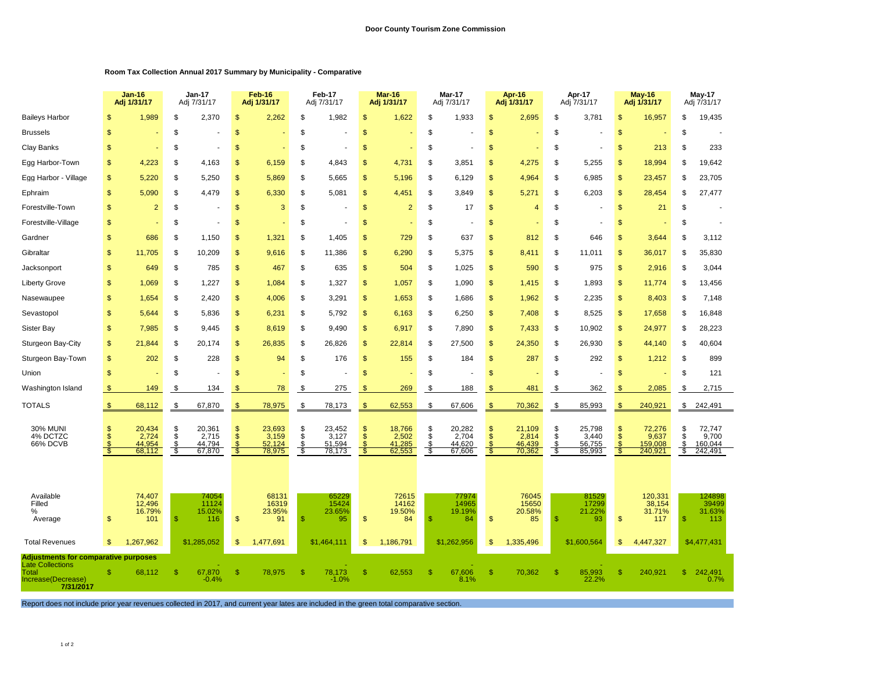## **Room Tax Collection Annual 2017 Summary by Municipality - Comparative**

|                                          |                                             | $Jan-16$<br>Adj 1/31/17             |                | Jan-17<br>Adj 7/31/17               |                                           | Feb-16<br>Adj 1/31/17               |                            | Feb-17<br>Adj 7/31/17               |               | <b>Mar-16</b><br>Adj 1/31/17        |                           | Mar-17<br>Adj 7/31/17               |                                                 | Apr-16<br>Adj 1/31/17               |               | Apr-17<br>Adj 7/31/17               |                                        | <b>May-16</b><br>Adj 1/31/17          |                      | $May-17$<br>Adj 7/31/17               |
|------------------------------------------|---------------------------------------------|-------------------------------------|----------------|-------------------------------------|-------------------------------------------|-------------------------------------|----------------------------|-------------------------------------|---------------|-------------------------------------|---------------------------|-------------------------------------|-------------------------------------------------|-------------------------------------|---------------|-------------------------------------|----------------------------------------|---------------------------------------|----------------------|---------------------------------------|
| <b>Baileys Harbor</b>                    | \$                                          | 1,989                               | \$             | 2,370                               | \$                                        | 2,262                               | \$                         | 1,982                               | S             | 1,622                               | <sup>\$</sup>             | 1,933                               | \$                                              | 2,695                               | \$            | 3,781                               | \$                                     | 16,957                                | S                    | 19,435                                |
| Brussels                                 | S                                           |                                     | \$             |                                     | \$                                        |                                     | \$                         |                                     | S             |                                     | \$                        |                                     | \$                                              |                                     | \$            |                                     | \$                                     |                                       | S                    |                                       |
| Clay Banks                               | \$                                          |                                     | \$             |                                     | \$                                        |                                     | \$                         |                                     | \$            |                                     | \$                        |                                     | \$                                              |                                     | \$            |                                     | \$                                     | 213                                   | \$                   | 233                                   |
| Egg Harbor-Town                          | S                                           | 4,223                               | \$             | 4,163                               | \$                                        | 6,159                               | \$                         | 4,843                               | \$.           | 4,731                               | S                         | 3,851                               | $\mathsf{\$}$                                   | 4,275                               | S             | 5,255                               | S                                      | 18,994                                | \$.                  | 19,642                                |
| Egg Harbor - Village                     | \$                                          | 5,220                               | \$             | 5,250                               | \$                                        | 5,869                               | \$                         | 5,665                               | \$.           | 5,196                               | <sup>\$</sup>             | 6,129                               | \$                                              | 4,964                               | \$            | 6,985                               | \$                                     | 23,457                                | \$                   | 23,705                                |
| Ephraim                                  | \$                                          | 5,090                               | \$             | 4,479                               | \$                                        | 6,330                               | \$                         | 5,081                               | \$.           | 4,451                               | S                         | 3,849                               | \$                                              | 5,271                               | S             | 6,203                               | \$                                     | 28,454                                | \$.                  | 27,477                                |
| Forestville-Town                         | \$                                          | $\overline{2}$                      | \$             |                                     | \$                                        | 3                                   | \$                         |                                     | \$            | $\overline{2}$                      | <sup>\$</sup>             | 17                                  | \$                                              | $\overline{4}$                      | \$            |                                     | \$                                     | 21                                    | S                    |                                       |
| Forestville-Village                      | \$                                          |                                     | \$             |                                     | \$                                        |                                     | \$                         |                                     | S             |                                     | \$                        |                                     | \$                                              |                                     | S             |                                     | S                                      |                                       | S                    |                                       |
| Gardner                                  | \$                                          | 686                                 | \$             | 1,150                               | \$                                        | 1,321                               | \$                         | 1,405                               | S             | 729                                 | \$                        | 637                                 | \$                                              | 812                                 | \$            | 646                                 | \$                                     | 3,644                                 | S                    | 3,112                                 |
| Gibraltar                                | \$                                          | 11,705                              | \$             | 10,209                              | $\mathcal{S}$                             | 9,616                               | \$                         | 11,386                              | S             | 6,290                               | \$                        | 5,375                               | \$                                              | 8,411                               | \$            | 11,011                              | \$                                     | 36,017                                | \$                   | 35,830                                |
| Jacksonport                              | \$                                          | 649                                 | \$             | 785                                 | \$                                        | 467                                 | \$                         | 635                                 | \$            | 504                                 | \$                        | 1,025                               | \$                                              | 590                                 | \$            | 975                                 | \$                                     | 2,916                                 | S                    | 3,044                                 |
| Liberty Grove                            | \$                                          | 1,069                               | \$             | 1,227                               | \$                                        | 1,084                               | \$                         | 1,327                               | \$            | 1,057                               | \$                        | 1,090                               | \$                                              | 1,415                               | \$            | 1,893                               | \$                                     | 11,774                                | S                    | 13,456                                |
| Nasewaupee                               | \$                                          | 1,654                               | \$             | 2,420                               | \$                                        | 4,006                               | \$                         | 3,291                               | \$            | 1,653                               | \$                        | 1,686                               | \$                                              | 1,962                               | \$            | 2,235                               | \$                                     | 8,403                                 | S                    | 7,148                                 |
| Sevastopol                               | \$                                          | 5,644                               | \$             | 5,836                               | \$                                        | 6,231                               | \$                         | 5,792                               | \$            | 6,163                               | <sup>\$</sup>             | 6,250                               | \$                                              | 7,408                               | \$            | 8,525                               | \$                                     | 17,658                                | S                    | 16,848                                |
| Sister Bay                               | $\mathbb{S}$                                | 7,985                               | \$             | 9,445                               | $\mathbb{S}$                              | 8,619                               | \$                         | 9,490                               | S             | 6,917                               | \$                        | 7,890                               | $\mathbb{S}$                                    | 7,433                               | \$            | 10,902                              | $\mathbb{S}$                           | 24,977                                | S                    | 28,223                                |
| Sturgeon Bay-City                        | \$                                          | 21,844                              | \$             | 20,174                              | \$                                        | 26,835                              | \$                         | 26,826                              | \$            | 22,814                              | \$                        | 27,500                              | \$                                              | 24,350                              | \$            | 26,930                              | \$                                     | 44,140                                | \$                   | 40,604                                |
| Sturgeon Bay-Town                        | \$                                          | 202                                 | \$             | 228                                 | $\sqrt{2}$                                | 94                                  | \$                         | 176                                 | \$            | 155                                 | \$                        | 184                                 | \$                                              | 287                                 | \$            | 292                                 | $\mathbb{S}$                           | 1,212                                 | \$                   | 899                                   |
| Union                                    | \$                                          |                                     | \$             |                                     | \$                                        |                                     | \$                         |                                     | \$            |                                     | \$                        |                                     | \$                                              |                                     | \$            |                                     | \$                                     |                                       | \$                   | 121                                   |
| Washington Island                        |                                             | 149                                 | \$             | 134                                 |                                           | 78                                  | \$                         | 275                                 | S             | 269                                 | \$                        | 188                                 |                                                 | 481                                 | \$            | 362                                 |                                        | 2,085                                 | \$                   | 2,715                                 |
| <b>TOTALS</b>                            | $\mathfrak{s}$                              | 68,112                              | \$             | 67,870                              | \$                                        | 78,975                              | \$                         | 78,173                              | $\mathsf{\$}$ | 62,553                              | \$                        | 67,606                              | \$                                              | 70,362                              | \$            | 85,993                              | $\mathbf{s}$                           | 240,921                               | \$                   | 242,491                               |
| <b>30% MUNI</b><br>4% DCTZC<br>66% DCVB  | \$<br>Š<br>S<br>$\mathbb{S}$                | 20,434<br>2,724<br>44,954<br>68,112 | \$<br>\$<br>\$ | 20,361<br>2,715<br>44,794<br>67,870 | \$<br>$\ddot{\$}$<br>$\mathcal{S}$<br>-\$ | 23,693<br>3,159<br>52,124<br>78,975 | \$<br>$\dot{s}$<br>S<br>\$ | 23,452<br>3,127<br>51,594<br>78,173 | \$            | 18,766<br>2,502<br>41,285<br>62,553 | $\frac{1}{3}$<br>\$<br>\$ | 20,282<br>2,704<br>44,620<br>67,606 | \$<br>$\mathsf{\$}$<br>$\overline{\mathcal{E}}$ | 21,109<br>2,814<br>46,439<br>70,362 | \$<br>S<br>\$ | 25,798<br>3,440<br>56,755<br>85,993 | S<br>$\dot{\$}$<br>$\mathbb{S}$<br>-\$ | 72,276<br>9,637<br>159,008<br>240,921 | £.<br>\$<br>\$<br>\$ | 72,747<br>9,700<br>160,044<br>242,491 |
| Available<br>Filled<br>℅<br>Average      | \$                                          | 74,407<br>12,496<br>16.79%<br>101   | \$             | 74054<br>11124<br>15.02%<br>116     | $\sqrt[6]{\frac{1}{2}}$                   | 68131<br>16319<br>23.95%<br>91      | \$.                        | 65229<br>15424<br>23.65%<br>95      | $\mathsf{\$}$ | 72615<br>14162<br>19.50%<br>84      | $\mathbf{s}$              | 77974<br>14965<br>19.19%<br>84      | \$                                              | 76045<br>15650<br>20.58%<br>85      | -S            | 81529<br>17299<br>21.22%<br>93      | \$                                     | 120,331<br>38,154<br>31.71%<br>117    | -SS                  | 124898<br>39499<br>31.63%<br>113      |
| <b>Total Revenues</b>                    | $\mathbb{S}$                                | 1,267,962                           |                | \$1,285,052                         | $\mathfrak{s}$                            | 1,477,691                           |                            | \$1,464,111                         | S             | 1,186,791                           |                           | \$1,262,956                         | \$                                              | 1,335,496                           |               | \$1,600,564                         | \$                                     | 4,447,327                             |                      | \$4,477,431                           |
| <b>Late Collections</b>                  | <b>Adjustments for comparative purposes</b> |                                     |                |                                     |                                           |                                     |                            |                                     |               |                                     |                           |                                     |                                                 |                                     |               |                                     |                                        |                                       |                      |                                       |
| Total<br>Increase(Decrease)<br>7/31/2017 | \$                                          | 68,112                              | \$             | 67,870<br>$-0.4%$                   | \$                                        | 78,975                              | S                          | 78,173<br>$-1.0%$                   | \$.           | 62,553                              | <sup>\$</sup>             | 67,606<br>8.1%                      | \$                                              | 70,362                              | $\mathbf{\$}$ | 85,993<br>22.2%                     | \$.                                    | 240,921                               | $\mathbf{s}$         | 242,491<br>0.7%                       |

Report does not include prior year revenues collected in 2017, and current year lates are included in the green total comparative section.